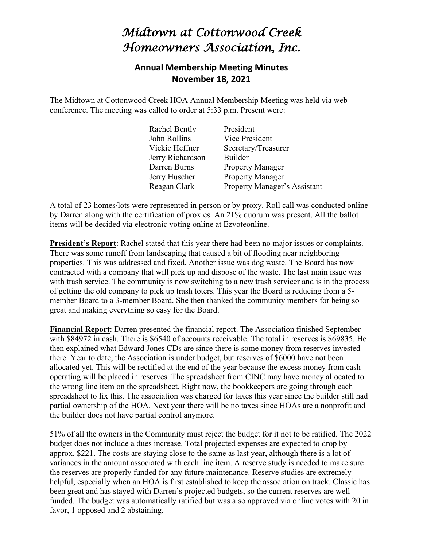## *Midtown at Cottonwood Creek Homeowners Association, Inc.*

## **Annual Membership Meeting Minutes November 18, 2021**

The Midtown at Cottonwood Creek HOA Annual Membership Meeting was held via web conference. The meeting was called to order at 5:33 p.m. Present were:

| Rachel Bently    | President                           |
|------------------|-------------------------------------|
| John Rollins     | Vice President                      |
| Vickie Heffner   | Secretary/Treasurer                 |
| Jerry Richardson | Builder                             |
| Darren Burns     | <b>Property Manager</b>             |
| Jerry Huscher    | <b>Property Manager</b>             |
| Reagan Clark     | <b>Property Manager's Assistant</b> |

A total of 23 homes/lots were represented in person or by proxy. Roll call was conducted online by Darren along with the certification of proxies. An 21% quorum was present. All the ballot items will be decided via electronic voting online at Ezvoteonline.

**President's Report**: Rachel stated that this year there had been no major issues or complaints. There was some runoff from landscaping that caused a bit of flooding near neighboring properties. This was addressed and fixed. Another issue was dog waste. The Board has now contracted with a company that will pick up and dispose of the waste. The last main issue was with trash service. The community is now switching to a new trash servicer and is in the process of getting the old company to pick up trash toters. This year the Board is reducing from a 5 member Board to a 3-member Board. She then thanked the community members for being so great and making everything so easy for the Board.

**Financial Report**: Darren presented the financial report. The Association finished September with \$84972 in cash. There is \$6540 of accounts receivable. The total in reserves is \$69835. He then explained what Edward Jones CDs are since there is some money from reserves invested there. Year to date, the Association is under budget, but reserves of \$6000 have not been allocated yet. This will be rectified at the end of the year because the excess money from cash operating will be placed in reserves. The spreadsheet from CINC may have money allocated to the wrong line item on the spreadsheet. Right now, the bookkeepers are going through each spreadsheet to fix this. The association was charged for taxes this year since the builder still had partial ownership of the HOA. Next year there will be no taxes since HOAs are a nonprofit and the builder does not have partial control anymore.

51% of all the owners in the Community must reject the budget for it not to be ratified. The 2022 budget does not include a dues increase. Total projected expenses are expected to drop by approx. \$221. The costs are staying close to the same as last year, although there is a lot of variances in the amount associated with each line item. A reserve study is needed to make sure the reserves are properly funded for any future maintenance. Reserve studies are extremely helpful, especially when an HOA is first established to keep the association on track. Classic has been great and has stayed with Darren's projected budgets, so the current reserves are well funded. The budget was automatically ratified but was also approved via online votes with 20 in favor, 1 opposed and 2 abstaining.